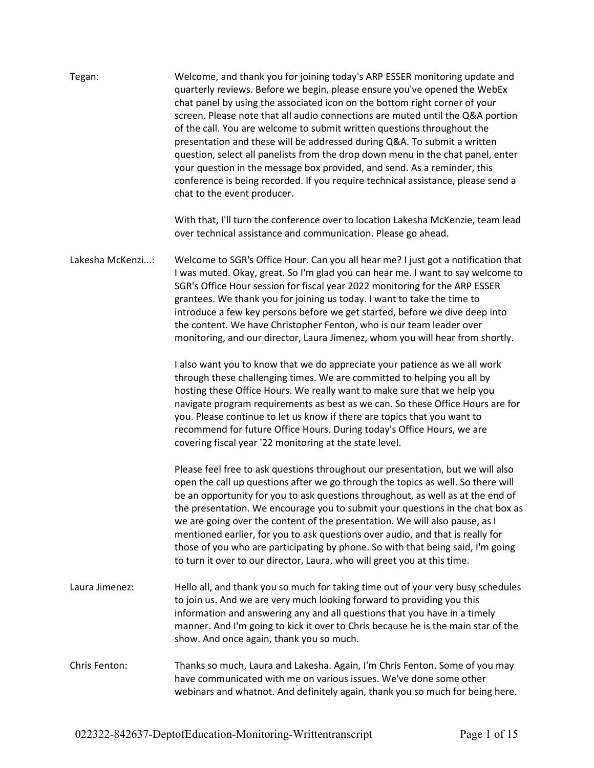| Tegan:           | Welcome, and thank you for joining today's ARP ESSER monitoring update and<br>quarterly reviews. Before we begin, please ensure you've opened the WebEx<br>chat panel by using the associated icon on the bottom right corner of your<br>screen. Please note that all audio connections are muted until the Q&A portion<br>of the call. You are welcome to submit written questions throughout the<br>presentation and these will be addressed during Q&A. To submit a written<br>question, select all panelists from the drop down menu in the chat panel, enter<br>your question in the message box provided, and send. As a reminder, this<br>conference is being recorded. If you require technical assistance, please send a<br>chat to the event producer. |
|------------------|------------------------------------------------------------------------------------------------------------------------------------------------------------------------------------------------------------------------------------------------------------------------------------------------------------------------------------------------------------------------------------------------------------------------------------------------------------------------------------------------------------------------------------------------------------------------------------------------------------------------------------------------------------------------------------------------------------------------------------------------------------------|
|                  | With that, I'll turn the conference over to location Lakesha McKenzie, team lead<br>over technical assistance and communication. Please go ahead.                                                                                                                                                                                                                                                                                                                                                                                                                                                                                                                                                                                                                |
| Lakesha McKenzi: | Welcome to SGR's Office Hour. Can you all hear me? I just got a notification that<br>I was muted. Okay, great. So I'm glad you can hear me. I want to say welcome to<br>SGR's Office Hour session for fiscal year 2022 monitoring for the ARP ESSER<br>grantees. We thank you for joining us today. I want to take the time to<br>introduce a few key persons before we get started, before we dive deep into<br>the content. We have Christopher Fenton, who is our team leader over<br>monitoring, and our director, Laura Jimenez, whom you will hear from shortly.                                                                                                                                                                                           |
|                  | I also want you to know that we do appreciate your patience as we all work<br>through these challenging times. We are committed to helping you all by<br>hosting these Office Hours. We really want to make sure that we help you<br>navigate program requirements as best as we can. So these Office Hours are for<br>you. Please continue to let us know if there are topics that you want to<br>recommend for future Office Hours. During today's Office Hours, we are<br>covering fiscal year '22 monitoring at the state level.                                                                                                                                                                                                                             |
|                  | Please feel free to ask questions throughout our presentation, but we will also<br>open the call up questions after we go through the topics as well. So there will<br>be an opportunity for you to ask questions throughout, as well as at the end of<br>the presentation. We encourage you to submit your questions in the chat box as<br>we are going over the content of the presentation. We will also pause, as I<br>mentioned earlier, for you to ask questions over audio, and that is really for<br>those of you who are participating by phone. So with that being said, I'm going<br>to turn it over to our director, Laura, who will greet you at this time.                                                                                         |
| Laura Jimenez:   | Hello all, and thank you so much for taking time out of your very busy schedules<br>to join us. And we are very much looking forward to providing you this<br>information and answering any and all questions that you have in a timely<br>manner. And I'm going to kick it over to Chris because he is the main star of the<br>show. And once again, thank you so much.                                                                                                                                                                                                                                                                                                                                                                                         |
| Chris Fenton:    | Thanks so much, Laura and Lakesha. Again, I'm Chris Fenton. Some of you may<br>have communicated with me on various issues. We've done some other<br>webinars and whatnot. And definitely again, thank you so much for being here.                                                                                                                                                                                                                                                                                                                                                                                                                                                                                                                               |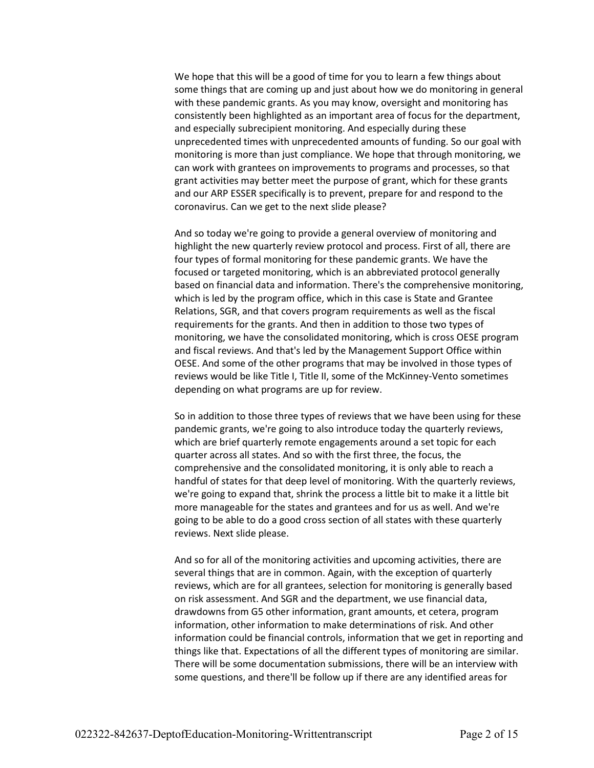We hope that this will be a good of time for you to learn a few things about some things that are coming up and just about how we do monitoring in general with these pandemic grants. As you may know, oversight and monitoring has consistently been highlighted as an important area of focus for the department, and especially subrecipient monitoring. And especially during these unprecedented times with unprecedented amounts of funding. So our goal with monitoring is more than just compliance. We hope that through monitoring, we can work with grantees on improvements to programs and processes, so that grant activities may better meet the purpose of grant, which for these grants and our ARP ESSER specifically is to prevent, prepare for and respond to the coronavirus. Can we get to the next slide please?

And so today we're going to provide a general overview of monitoring and highlight the new quarterly review protocol and process. First of all, there are four types of formal monitoring for these pandemic grants. We have the focused or targeted monitoring, which is an abbreviated protocol generally based on financial data and information. There's the comprehensive monitoring, which is led by the program office, which in this case is State and Grantee Relations, SGR, and that covers program requirements as well as the fiscal requirements for the grants. And then in addition to those two types of monitoring, we have the consolidated monitoring, which is cross OESE program and fiscal reviews. And that's led by the Management Support Office within OESE. And some of the other programs that may be involved in those types of reviews would be like Title I, Title II, some of the McKinney-Vento sometimes depending on what programs are up for review.

So in addition to those three types of reviews that we have been using for these pandemic grants, we're going to also introduce today the quarterly reviews, which are brief quarterly remote engagements around a set topic for each quarter across all states. And so with the first three, the focus, the comprehensive and the consolidated monitoring, it is only able to reach a handful of states for that deep level of monitoring. With the quarterly reviews, we're going to expand that, shrink the process a little bit to make it a little bit more manageable for the states and grantees and for us as well. And we're going to be able to do a good cross section of all states with these quarterly reviews. Next slide please.

And so for all of the monitoring activities and upcoming activities, there are several things that are in common. Again, with the exception of quarterly reviews, which are for all grantees, selection for monitoring is generally based on risk assessment. And SGR and the department, we use financial data, drawdowns from G5 other information, grant amounts, et cetera, program information, other information to make determinations of risk. And other information could be financial controls, information that we get in reporting and things like that. Expectations of all the different types of monitoring are similar. There will be some documentation submissions, there will be an interview with some questions, and there'll be follow up if there are any identified areas for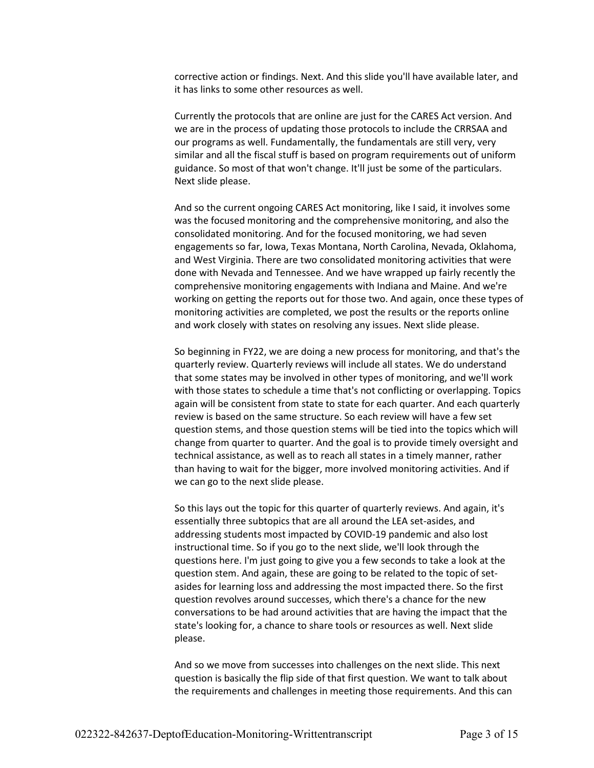corrective action or findings. Next. And this slide you'll have available later, and it has links to some other resources as well.

Currently the protocols that are online are just for the CARES Act version. And we are in the process of updating those protocols to include the CRRSAA and our programs as well. Fundamentally, the fundamentals are still very, very similar and all the fiscal stuff is based on program requirements out of uniform guidance. So most of that won't change. It'll just be some of the particulars. Next slide please.

And so the current ongoing CARES Act monitoring, like I said, it involves some was the focused monitoring and the comprehensive monitoring, and also the consolidated monitoring. And for the focused monitoring, we had seven engagements so far, Iowa, Texas Montana, North Carolina, Nevada, Oklahoma, and West Virginia. There are two consolidated monitoring activities that were done with Nevada and Tennessee. And we have wrapped up fairly recently the comprehensive monitoring engagements with Indiana and Maine. And we're working on getting the reports out for those two. And again, once these types of monitoring activities are completed, we post the results or the reports online and work closely with states on resolving any issues. Next slide please.

So beginning in FY22, we are doing a new process for monitoring, and that's the quarterly review. Quarterly reviews will include all states. We do understand that some states may be involved in other types of monitoring, and we'll work with those states to schedule a time that's not conflicting or overlapping. Topics again will be consistent from state to state for each quarter. And each quarterly review is based on the same structure. So each review will have a few set question stems, and those question stems will be tied into the topics which will change from quarter to quarter. And the goal is to provide timely oversight and technical assistance, as well as to reach all states in a timely manner, rather than having to wait for the bigger, more involved monitoring activities. And if we can go to the next slide please.

So this lays out the topic for this quarter of quarterly reviews. And again, it's essentially three subtopics that are all around the LEA set-asides, and addressing students most impacted by COVID-19 pandemic and also lost instructional time. So if you go to the next slide, we'll look through the questions here. I'm just going to give you a few seconds to take a look at the question stem. And again, these are going to be related to the topic of setasides for learning loss and addressing the most impacted there. So the first question revolves around successes, which there's a chance for the new conversations to be had around activities that are having the impact that the state's looking for, a chance to share tools or resources as well. Next slide please.

And so we move from successes into challenges on the next slide. This next question is basically the flip side of that first question. We want to talk about the requirements and challenges in meeting those requirements. And this can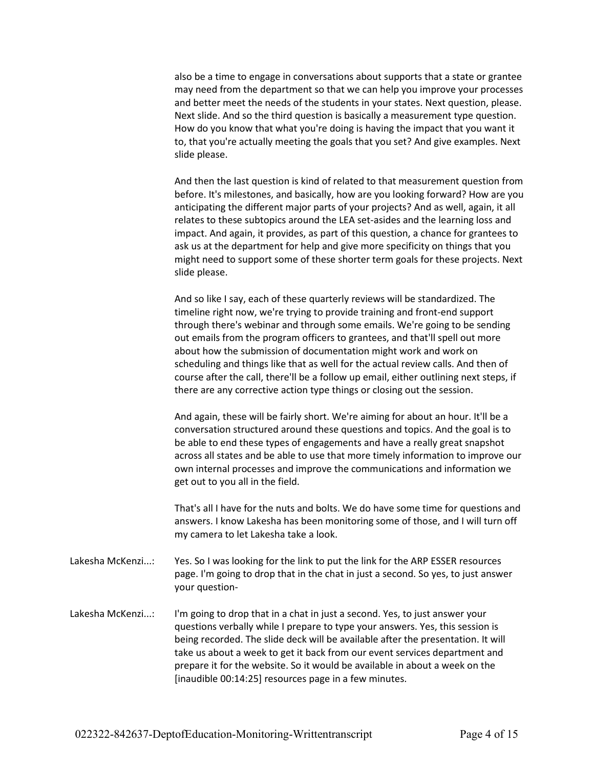also be a time to engage in conversations about supports that a state or grantee may need from the department so that we can help you improve your processes and better meet the needs of the students in your states. Next question, please. Next slide. And so the third question is basically a measurement type question. How do you know that what you're doing is having the impact that you want it to, that you're actually meeting the goals that you set? And give examples. Next slide please.

And then the last question is kind of related to that measurement question from before. It's milestones, and basically, how are you looking forward? How are you anticipating the different major parts of your projects? And as well, again, it all relates to these subtopics around the LEA set-asides and the learning loss and impact. And again, it provides, as part of this question, a chance for grantees to ask us at the department for help and give more specificity on things that you might need to support some of these shorter term goals for these projects. Next slide please.

And so like I say, each of these quarterly reviews will be standardized. The timeline right now, we're trying to provide training and front-end support through there's webinar and through some emails. We're going to be sending out emails from the program officers to grantees, and that'll spell out more about how the submission of documentation might work and work on scheduling and things like that as well for the actual review calls. And then of course after the call, there'll be a follow up email, either outlining next steps, if there are any corrective action type things or closing out the session.

And again, these will be fairly short. We're aiming for about an hour. It'll be a conversation structured around these questions and topics. And the goal is to be able to end these types of engagements and have a really great snapshot across all states and be able to use that more timely information to improve our own internal processes and improve the communications and information we get out to you all in the field.

That's all I have for the nuts and bolts. We do have some time for questions and answers. I know Lakesha has been monitoring some of those, and I will turn off my camera to let Lakesha take a look.

- Lakesha McKenzi...: Yes. So I was looking for the link to put the link for the ARP ESSER resources page. I'm going to drop that in the chat in just a second. So yes, to just answer your question-
- Lakesha McKenzi...: I'm going to drop that in a chat in just a second. Yes, to just answer your questions verbally while I prepare to type your answers. Yes, this session is being recorded. The slide deck will be available after the presentation. It will take us about a week to get it back from our event services department and prepare it for the website. So it would be available in about a week on the [inaudible 00:14:25] resources page in a few minutes.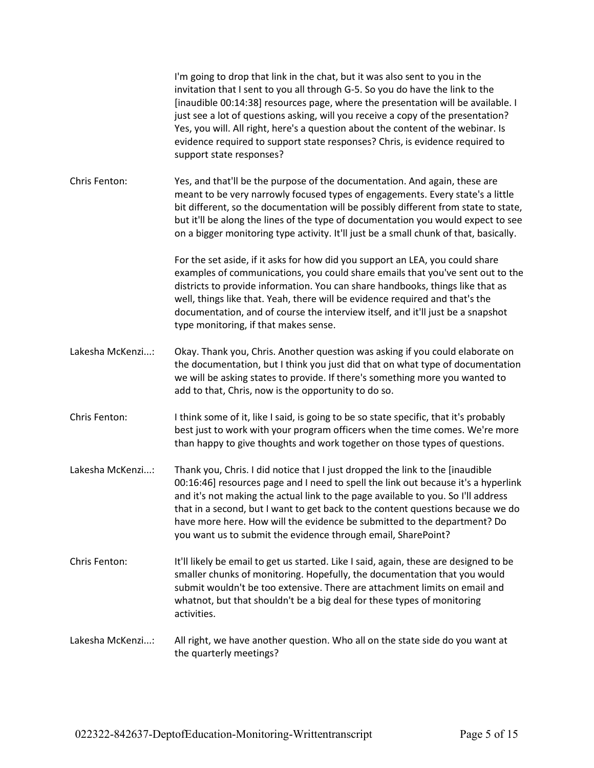|                  | I'm going to drop that link in the chat, but it was also sent to you in the<br>invitation that I sent to you all through G-5. So you do have the link to the<br>[inaudible 00:14:38] resources page, where the presentation will be available. I<br>just see a lot of questions asking, will you receive a copy of the presentation?<br>Yes, you will. All right, here's a question about the content of the webinar. Is<br>evidence required to support state responses? Chris, is evidence required to<br>support state responses? |
|------------------|--------------------------------------------------------------------------------------------------------------------------------------------------------------------------------------------------------------------------------------------------------------------------------------------------------------------------------------------------------------------------------------------------------------------------------------------------------------------------------------------------------------------------------------|
| Chris Fenton:    | Yes, and that'll be the purpose of the documentation. And again, these are<br>meant to be very narrowly focused types of engagements. Every state's a little<br>bit different, so the documentation will be possibly different from state to state,<br>but it'll be along the lines of the type of documentation you would expect to see<br>on a bigger monitoring type activity. It'll just be a small chunk of that, basically.                                                                                                    |
|                  | For the set aside, if it asks for how did you support an LEA, you could share<br>examples of communications, you could share emails that you've sent out to the<br>districts to provide information. You can share handbooks, things like that as<br>well, things like that. Yeah, there will be evidence required and that's the<br>documentation, and of course the interview itself, and it'll just be a snapshot<br>type monitoring, if that makes sense.                                                                        |
| Lakesha McKenzi: | Okay. Thank you, Chris. Another question was asking if you could elaborate on<br>the documentation, but I think you just did that on what type of documentation<br>we will be asking states to provide. If there's something more you wanted to<br>add to that, Chris, now is the opportunity to do so.                                                                                                                                                                                                                              |
| Chris Fenton:    | I think some of it, like I said, is going to be so state specific, that it's probably<br>best just to work with your program officers when the time comes. We're more<br>than happy to give thoughts and work together on those types of questions.                                                                                                                                                                                                                                                                                  |
| Lakesha McKenzi: | Thank you, Chris. I did notice that I just dropped the link to the [inaudible<br>00:16:46] resources page and I need to spell the link out because it's a hyperlink<br>and it's not making the actual link to the page available to you. So I'll address<br>that in a second, but I want to get back to the content questions because we do<br>have more here. How will the evidence be submitted to the department? Do<br>you want us to submit the evidence through email, SharePoint?                                             |
| Chris Fenton:    | It'll likely be email to get us started. Like I said, again, these are designed to be<br>smaller chunks of monitoring. Hopefully, the documentation that you would<br>submit wouldn't be too extensive. There are attachment limits on email and<br>whatnot, but that shouldn't be a big deal for these types of monitoring<br>activities.                                                                                                                                                                                           |
| Lakesha McKenzi: | All right, we have another question. Who all on the state side do you want at<br>the quarterly meetings?                                                                                                                                                                                                                                                                                                                                                                                                                             |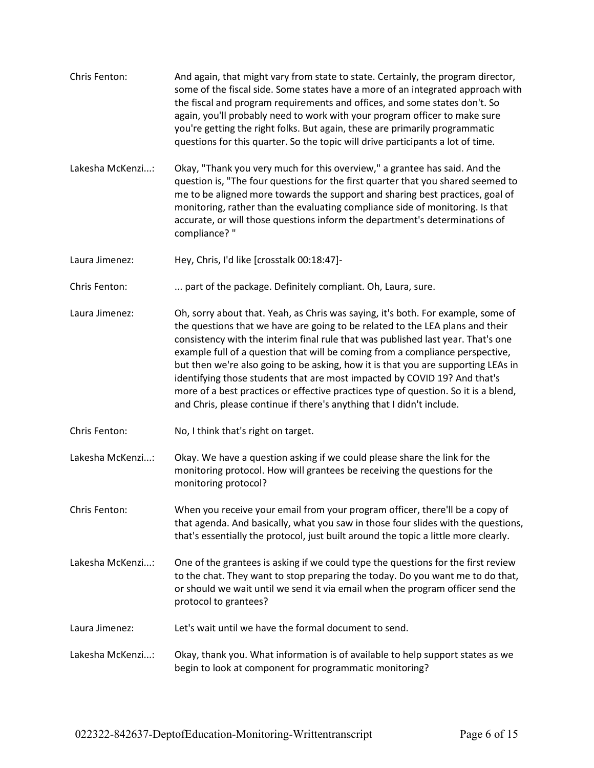- Chris Fenton: And again, that might vary from state to state. Certainly, the program director, some of the fiscal side. Some states have a more of an integrated approach with the fiscal and program requirements and offices, and some states don't. So again, you'll probably need to work with your program officer to make sure you're getting the right folks. But again, these are primarily programmatic questions for this quarter. So the topic will drive participants a lot of time.
- Lakesha McKenzi...: Okay, "Thank you very much for this overview," a grantee has said. And the question is, "The four questions for the first quarter that you shared seemed to me to be aligned more towards the support and sharing best practices, goal of monitoring, rather than the evaluating compliance side of monitoring. Is that accurate, or will those questions inform the department's determinations of compliance? "
- Laura Jimenez: Hey, Chris, I'd like [crosstalk 00:18:47]-
- Chris Fenton: ... part of the package. Definitely compliant. Oh, Laura, sure.
- Laura Jimenez: Oh, sorry about that. Yeah, as Chris was saying, it's both. For example, some of the questions that we have are going to be related to the LEA plans and their consistency with the interim final rule that was published last year. That's one example full of a question that will be coming from a compliance perspective, but then we're also going to be asking, how it is that you are supporting LEAs in identifying those students that are most impacted by COVID 19? And that's more of a best practices or effective practices type of question. So it is a blend, and Chris, please continue if there's anything that I didn't include.
- Chris Fenton: No, I think that's right on target.
- Lakesha McKenzi...: Okay. We have a question asking if we could please share the link for the monitoring protocol. How will grantees be receiving the questions for the monitoring protocol?

Chris Fenton: When you receive your email from your program officer, there'll be a copy of that agenda. And basically, what you saw in those four slides with the questions, that's essentially the protocol, just built around the topic a little more clearly.

- Lakesha McKenzi...: One of the grantees is asking if we could type the questions for the first review to the chat. They want to stop preparing the today. Do you want me to do that, or should we wait until we send it via email when the program officer send the protocol to grantees?
- Laura Jimenez: Let's wait until we have the formal document to send.
- Lakesha McKenzi...: Okay, thank you. What information is of available to help support states as we begin to look at component for programmatic monitoring?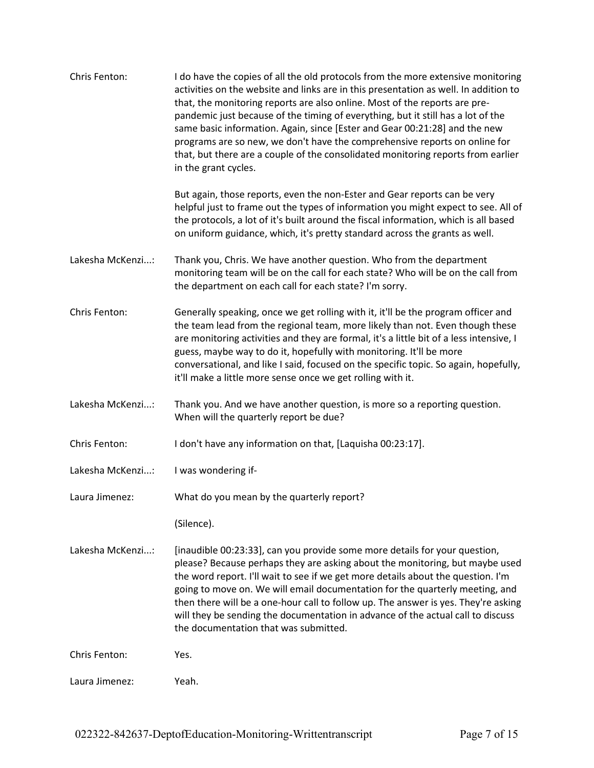| Chris Fenton:    | I do have the copies of all the old protocols from the more extensive monitoring<br>activities on the website and links are in this presentation as well. In addition to<br>that, the monitoring reports are also online. Most of the reports are pre-<br>pandemic just because of the timing of everything, but it still has a lot of the<br>same basic information. Again, since [Ester and Gear 00:21:28] and the new<br>programs are so new, we don't have the comprehensive reports on online for<br>that, but there are a couple of the consolidated monitoring reports from earlier<br>in the grant cycles. |
|------------------|--------------------------------------------------------------------------------------------------------------------------------------------------------------------------------------------------------------------------------------------------------------------------------------------------------------------------------------------------------------------------------------------------------------------------------------------------------------------------------------------------------------------------------------------------------------------------------------------------------------------|
|                  | But again, those reports, even the non-Ester and Gear reports can be very<br>helpful just to frame out the types of information you might expect to see. All of<br>the protocols, a lot of it's built around the fiscal information, which is all based<br>on uniform guidance, which, it's pretty standard across the grants as well.                                                                                                                                                                                                                                                                             |
| Lakesha McKenzi: | Thank you, Chris. We have another question. Who from the department<br>monitoring team will be on the call for each state? Who will be on the call from<br>the department on each call for each state? I'm sorry.                                                                                                                                                                                                                                                                                                                                                                                                  |
| Chris Fenton:    | Generally speaking, once we get rolling with it, it'll be the program officer and<br>the team lead from the regional team, more likely than not. Even though these<br>are monitoring activities and they are formal, it's a little bit of a less intensive, I<br>guess, maybe way to do it, hopefully with monitoring. It'll be more<br>conversational, and like I said, focused on the specific topic. So again, hopefully,<br>it'll make a little more sense once we get rolling with it.                                                                                                                        |
| Lakesha McKenzi: | Thank you. And we have another question, is more so a reporting question.<br>When will the quarterly report be due?                                                                                                                                                                                                                                                                                                                                                                                                                                                                                                |
| Chris Fenton:    | I don't have any information on that, [Laquisha 00:23:17].                                                                                                                                                                                                                                                                                                                                                                                                                                                                                                                                                         |
| Lakesha McKenzi: | I was wondering if-                                                                                                                                                                                                                                                                                                                                                                                                                                                                                                                                                                                                |
| Laura Jimenez:   | What do you mean by the quarterly report?                                                                                                                                                                                                                                                                                                                                                                                                                                                                                                                                                                          |
|                  | (Silence).                                                                                                                                                                                                                                                                                                                                                                                                                                                                                                                                                                                                         |
| Lakesha McKenzi: | [inaudible 00:23:33], can you provide some more details for your question,<br>please? Because perhaps they are asking about the monitoring, but maybe used<br>the word report. I'll wait to see if we get more details about the question. I'm<br>going to move on. We will email documentation for the quarterly meeting, and<br>then there will be a one-hour call to follow up. The answer is yes. They're asking<br>will they be sending the documentation in advance of the actual call to discuss<br>the documentation that was submitted.                                                                   |
| Chris Fenton:    | Yes.                                                                                                                                                                                                                                                                                                                                                                                                                                                                                                                                                                                                               |
| Laura Jimenez:   | Yeah.                                                                                                                                                                                                                                                                                                                                                                                                                                                                                                                                                                                                              |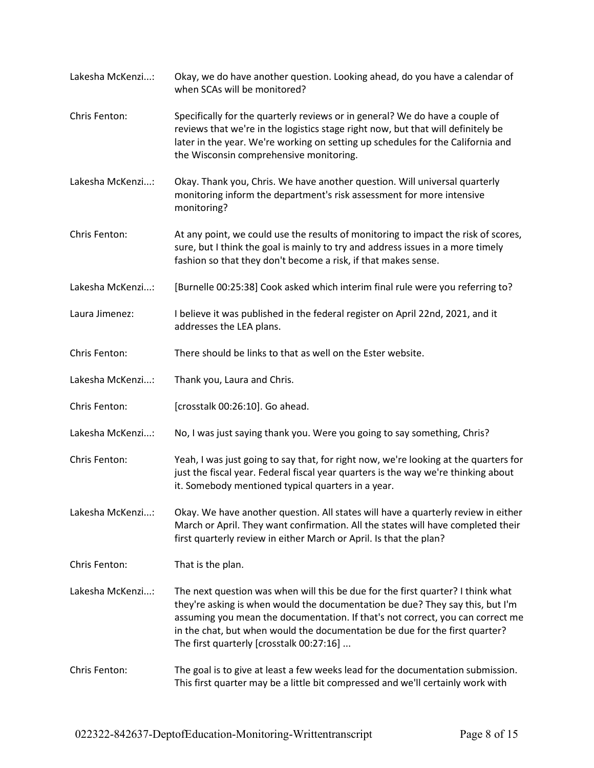Chris Fenton: Specifically for the quarterly reviews or in general? We do have a couple of reviews that we're in the logistics stage right now, but that will definitely be later in the year. We're working on setting up schedules for the California and the Wisconsin comprehensive monitoring. Lakesha McKenzi...: Okay. Thank you, Chris. We have another question. Will universal quarterly monitoring inform the department's risk assessment for more intensive monitoring? Chris Fenton: At any point, we could use the results of monitoring to impact the risk of scores, sure, but I think the goal is mainly to try and address issues in a more timely fashion so that they don't become a risk, if that makes sense. Lakesha McKenzi...: [Burnelle 00:25:38] Cook asked which interim final rule were you referring to? Laura Jimenez: I believe it was published in the federal register on April 22nd, 2021, and it addresses the LEA plans. Chris Fenton: There should be links to that as well on the Ester website. Lakesha McKenzi...: Thank you, Laura and Chris. Chris Fenton: [crosstalk 00:26:10]. Go ahead. Lakesha McKenzi...: No, I was just saying thank you. Were you going to say something, Chris? Chris Fenton: Yeah, I was just going to say that, for right now, we're looking at the quarters for just the fiscal year. Federal fiscal year quarters is the way we're thinking about it. Somebody mentioned typical quarters in a year. Lakesha McKenzi...: Okay. We have another question. All states will have a quarterly review in either March or April. They want confirmation. All the states will have completed their first quarterly review in either March or April. Is that the plan? Chris Fenton: That is the plan. Lakesha McKenzi...: The next question was when will this be due for the first quarter? I think what they're asking is when would the documentation be due? They say this, but I'm assuming you mean the documentation. If that's not correct, you can correct me in the chat, but when would the documentation be due for the first quarter? The first quarterly [crosstalk 00:27:16] ...

Lakesha McKenzi...: Okay, we do have another question. Looking ahead, do you have a calendar of

when SCAs will be monitored?

Chris Fenton: The goal is to give at least a few weeks lead for the documentation submission. This first quarter may be a little bit compressed and we'll certainly work with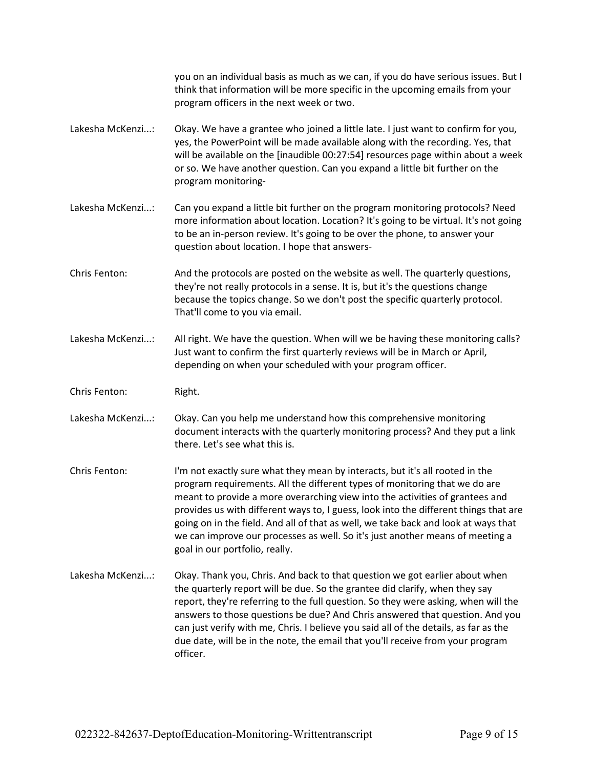you on an individual basis as much as we can, if you do have serious issues. But I think that information will be more specific in the upcoming emails from your program officers in the next week or two.

- Lakesha McKenzi...: Okay. We have a grantee who joined a little late. I just want to confirm for you, yes, the PowerPoint will be made available along with the recording. Yes, that will be available on the [inaudible 00:27:54] resources page within about a week or so. We have another question. Can you expand a little bit further on the program monitoring-
- Lakesha McKenzi...: Can you expand a little bit further on the program monitoring protocols? Need more information about location. Location? It's going to be virtual. It's not going to be an in-person review. It's going to be over the phone, to answer your question about location. I hope that answers-
- Chris Fenton: And the protocols are posted on the website as well. The quarterly questions, they're not really protocols in a sense. It is, but it's the questions change because the topics change. So we don't post the specific quarterly protocol. That'll come to you via email.
- Lakesha McKenzi...: All right. We have the question. When will we be having these monitoring calls? Just want to confirm the first quarterly reviews will be in March or April, depending on when your scheduled with your program officer.
- Chris Fenton: Right.

Lakesha McKenzi...: Okay. Can you help me understand how this comprehensive monitoring document interacts with the quarterly monitoring process? And they put a link there. Let's see what this is.

- Chris Fenton: I'm not exactly sure what they mean by interacts, but it's all rooted in the program requirements. All the different types of monitoring that we do are meant to provide a more overarching view into the activities of grantees and provides us with different ways to, I guess, look into the different things that are going on in the field. And all of that as well, we take back and look at ways that we can improve our processes as well. So it's just another means of meeting a goal in our portfolio, really.
- Lakesha McKenzi...: Okay. Thank you, Chris. And back to that question we got earlier about when the quarterly report will be due. So the grantee did clarify, when they say report, they're referring to the full question. So they were asking, when will the answers to those questions be due? And Chris answered that question. And you can just verify with me, Chris. I believe you said all of the details, as far as the due date, will be in the note, the email that you'll receive from your program officer.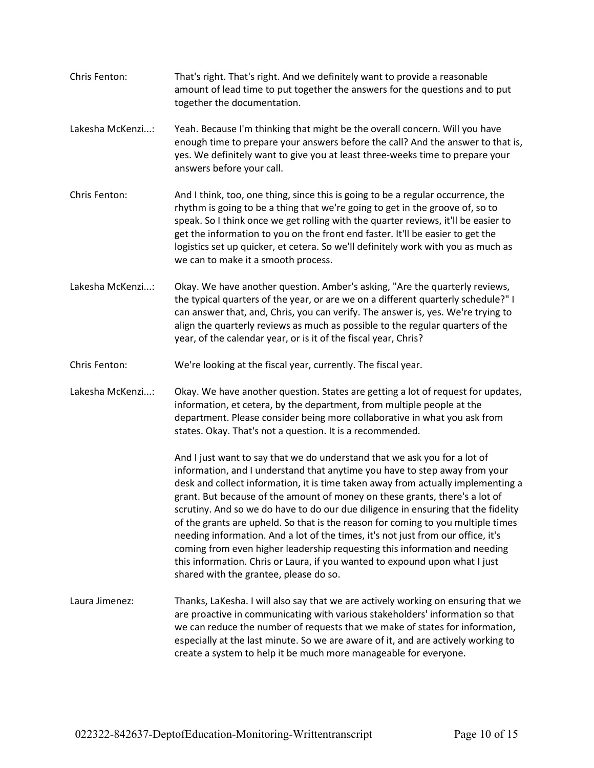- Chris Fenton: That's right. That's right. And we definitely want to provide a reasonable amount of lead time to put together the answers for the questions and to put together the documentation.
- Lakesha McKenzi...: Yeah. Because I'm thinking that might be the overall concern. Will you have enough time to prepare your answers before the call? And the answer to that is, yes. We definitely want to give you at least three-weeks time to prepare your answers before your call.
- Chris Fenton: And I think, too, one thing, since this is going to be a regular occurrence, the rhythm is going to be a thing that we're going to get in the groove of, so to speak. So I think once we get rolling with the quarter reviews, it'll be easier to get the information to you on the front end faster. It'll be easier to get the logistics set up quicker, et cetera. So we'll definitely work with you as much as we can to make it a smooth process.
- Lakesha McKenzi...: Okay. We have another question. Amber's asking, "Are the quarterly reviews, the typical quarters of the year, or are we on a different quarterly schedule?" I can answer that, and, Chris, you can verify. The answer is, yes. We're trying to align the quarterly reviews as much as possible to the regular quarters of the year, of the calendar year, or is it of the fiscal year, Chris?
- Chris Fenton: We're looking at the fiscal year, currently. The fiscal year.
- Lakesha McKenzi...: Okay. We have another question. States are getting a lot of request for updates, information, et cetera, by the department, from multiple people at the department. Please consider being more collaborative in what you ask from states. Okay. That's not a question. It is a recommended.

And I just want to say that we do understand that we ask you for a lot of information, and I understand that anytime you have to step away from your desk and collect information, it is time taken away from actually implementing a grant. But because of the amount of money on these grants, there's a lot of scrutiny. And so we do have to do our due diligence in ensuring that the fidelity of the grants are upheld. So that is the reason for coming to you multiple times needing information. And a lot of the times, it's not just from our office, it's coming from even higher leadership requesting this information and needing this information. Chris or Laura, if you wanted to expound upon what I just shared with the grantee, please do so.

Laura Jimenez: Thanks, LaKesha. I will also say that we are actively working on ensuring that we are proactive in communicating with various stakeholders' information so that we can reduce the number of requests that we make of states for information, especially at the last minute. So we are aware of it, and are actively working to create a system to help it be much more manageable for everyone.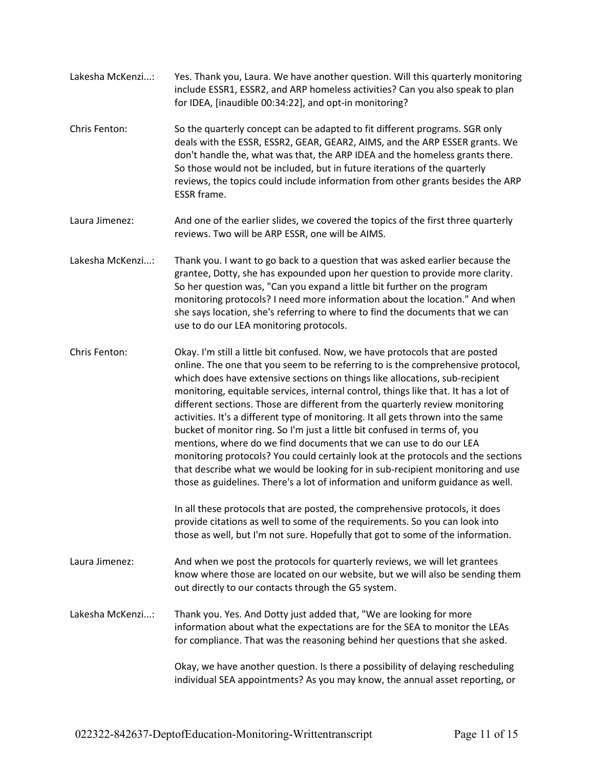- Lakesha McKenzi...: Yes. Thank you, Laura. We have another question. Will this quarterly monitoring include ESSR1, ESSR2, and ARP homeless activities? Can you also speak to plan for IDEA, [inaudible 00:34:22], and opt-in monitoring?
- Chris Fenton: So the quarterly concept can be adapted to fit different programs. SGR only deals with the ESSR, ESSR2, GEAR, GEAR2, AIMS, and the ARP ESSER grants. We don't handle the, what was that, the ARP IDEA and the homeless grants there. So those would not be included, but in future iterations of the quarterly reviews, the topics could include information from other grants besides the ARP ESSR frame.
- Laura Jimenez: And one of the earlier slides, we covered the topics of the first three quarterly reviews. Two will be ARP ESSR, one will be AIMS.
- Lakesha McKenzi...: Thank you. I want to go back to a question that was asked earlier because the grantee, Dotty, she has expounded upon her question to provide more clarity. So her question was, "Can you expand a little bit further on the program monitoring protocols? I need more information about the location." And when she says location, she's referring to where to find the documents that we can use to do our LEA monitoring protocols.
- Chris Fenton: Okay. I'm still a little bit confused. Now, we have protocols that are posted online. The one that you seem to be referring to is the comprehensive protocol, which does have extensive sections on things like allocations, sub-recipient monitoring, equitable services, internal control, things like that. It has a lot of different sections. Those are different from the quarterly review monitoring activities. It's a different type of monitoring. It all gets thrown into the same bucket of monitor ring. So I'm just a little bit confused in terms of, you mentions, where do we find documents that we can use to do our LEA monitoring protocols? You could certainly look at the protocols and the sections that describe what we would be looking for in sub-recipient monitoring and use those as guidelines. There's a lot of information and uniform guidance as well.

In all these protocols that are posted, the comprehensive protocols, it does provide citations as well to some of the requirements. So you can look into those as well, but I'm not sure. Hopefully that got to some of the information.

- Laura Jimenez: And when we post the protocols for quarterly reviews, we will let grantees know where those are located on our website, but we will also be sending them out directly to our contacts through the G5 system.
- Lakesha McKenzi...: Thank you. Yes. And Dotty just added that, "We are looking for more information about what the expectations are for the SEA to monitor the LEAs for compliance. That was the reasoning behind her questions that she asked.

Okay, we have another question. Is there a possibility of delaying rescheduling individual SEA appointments? As you may know, the annual asset reporting, or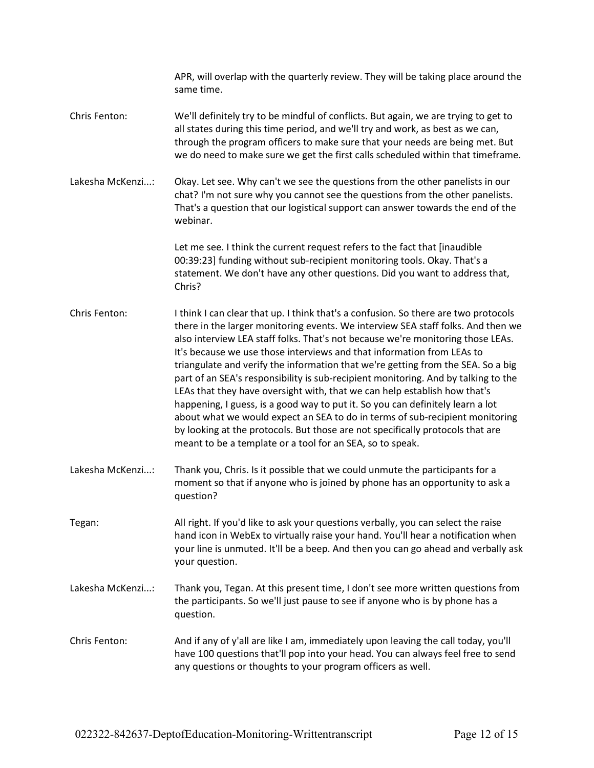|                  | APR, will overlap with the quarterly review. They will be taking place around the<br>same time.                                                                                                                                                                                                                                                                                                                                                                                                                                                                                                                                                                                                                                                                                                                                                                                                              |
|------------------|--------------------------------------------------------------------------------------------------------------------------------------------------------------------------------------------------------------------------------------------------------------------------------------------------------------------------------------------------------------------------------------------------------------------------------------------------------------------------------------------------------------------------------------------------------------------------------------------------------------------------------------------------------------------------------------------------------------------------------------------------------------------------------------------------------------------------------------------------------------------------------------------------------------|
| Chris Fenton:    | We'll definitely try to be mindful of conflicts. But again, we are trying to get to<br>all states during this time period, and we'll try and work, as best as we can,<br>through the program officers to make sure that your needs are being met. But<br>we do need to make sure we get the first calls scheduled within that timeframe.                                                                                                                                                                                                                                                                                                                                                                                                                                                                                                                                                                     |
| Lakesha McKenzi: | Okay. Let see. Why can't we see the questions from the other panelists in our<br>chat? I'm not sure why you cannot see the questions from the other panelists.<br>That's a question that our logistical support can answer towards the end of the<br>webinar.                                                                                                                                                                                                                                                                                                                                                                                                                                                                                                                                                                                                                                                |
|                  | Let me see. I think the current request refers to the fact that [inaudible<br>00:39:23] funding without sub-recipient monitoring tools. Okay. That's a<br>statement. We don't have any other questions. Did you want to address that,<br>Chris?                                                                                                                                                                                                                                                                                                                                                                                                                                                                                                                                                                                                                                                              |
| Chris Fenton:    | I think I can clear that up. I think that's a confusion. So there are two protocols<br>there in the larger monitoring events. We interview SEA staff folks. And then we<br>also interview LEA staff folks. That's not because we're monitoring those LEAs.<br>It's because we use those interviews and that information from LEAs to<br>triangulate and verify the information that we're getting from the SEA. So a big<br>part of an SEA's responsibility is sub-recipient monitoring. And by talking to the<br>LEAs that they have oversight with, that we can help establish how that's<br>happening, I guess, is a good way to put it. So you can definitely learn a lot<br>about what we would expect an SEA to do in terms of sub-recipient monitoring<br>by looking at the protocols. But those are not specifically protocols that are<br>meant to be a template or a tool for an SEA, so to speak. |
| Lakesha McKenzi: | Thank you, Chris. Is it possible that we could unmute the participants for a<br>moment so that if anyone who is joined by phone has an opportunity to ask a<br>question?                                                                                                                                                                                                                                                                                                                                                                                                                                                                                                                                                                                                                                                                                                                                     |
| Tegan:           | All right. If you'd like to ask your questions verbally, you can select the raise<br>hand icon in WebEx to virtually raise your hand. You'll hear a notification when<br>your line is unmuted. It'll be a beep. And then you can go ahead and verbally ask<br>your question.                                                                                                                                                                                                                                                                                                                                                                                                                                                                                                                                                                                                                                 |
| Lakesha McKenzi: | Thank you, Tegan. At this present time, I don't see more written questions from<br>the participants. So we'll just pause to see if anyone who is by phone has a<br>question.                                                                                                                                                                                                                                                                                                                                                                                                                                                                                                                                                                                                                                                                                                                                 |
| Chris Fenton:    | And if any of y'all are like I am, immediately upon leaving the call today, you'll<br>have 100 questions that'll pop into your head. You can always feel free to send<br>any questions or thoughts to your program officers as well.                                                                                                                                                                                                                                                                                                                                                                                                                                                                                                                                                                                                                                                                         |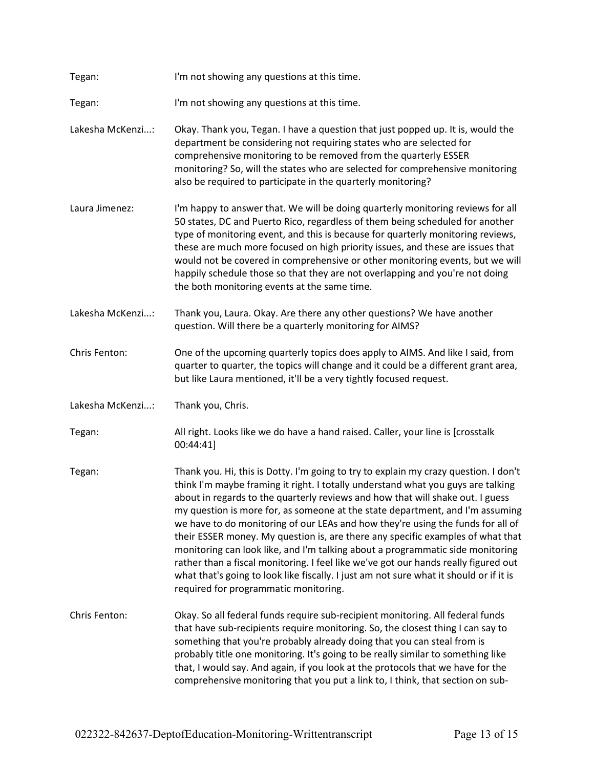| Tegan:           | I'm not showing any questions at this time.                                                                                                                                                                                                                                                                                                                                                                                                                                                                                                                                                                                                                                                                                                                                                                                   |
|------------------|-------------------------------------------------------------------------------------------------------------------------------------------------------------------------------------------------------------------------------------------------------------------------------------------------------------------------------------------------------------------------------------------------------------------------------------------------------------------------------------------------------------------------------------------------------------------------------------------------------------------------------------------------------------------------------------------------------------------------------------------------------------------------------------------------------------------------------|
| Tegan:           | I'm not showing any questions at this time.                                                                                                                                                                                                                                                                                                                                                                                                                                                                                                                                                                                                                                                                                                                                                                                   |
| Lakesha McKenzi: | Okay. Thank you, Tegan. I have a question that just popped up. It is, would the<br>department be considering not requiring states who are selected for<br>comprehensive monitoring to be removed from the quarterly ESSER<br>monitoring? So, will the states who are selected for comprehensive monitoring<br>also be required to participate in the quarterly monitoring?                                                                                                                                                                                                                                                                                                                                                                                                                                                    |
| Laura Jimenez:   | I'm happy to answer that. We will be doing quarterly monitoring reviews for all<br>50 states, DC and Puerto Rico, regardless of them being scheduled for another<br>type of monitoring event, and this is because for quarterly monitoring reviews,<br>these are much more focused on high priority issues, and these are issues that<br>would not be covered in comprehensive or other monitoring events, but we will<br>happily schedule those so that they are not overlapping and you're not doing<br>the both monitoring events at the same time.                                                                                                                                                                                                                                                                        |
| Lakesha McKenzi: | Thank you, Laura. Okay. Are there any other questions? We have another<br>question. Will there be a quarterly monitoring for AIMS?                                                                                                                                                                                                                                                                                                                                                                                                                                                                                                                                                                                                                                                                                            |
| Chris Fenton:    | One of the upcoming quarterly topics does apply to AIMS. And like I said, from<br>quarter to quarter, the topics will change and it could be a different grant area,<br>but like Laura mentioned, it'll be a very tightly focused request.                                                                                                                                                                                                                                                                                                                                                                                                                                                                                                                                                                                    |
| Lakesha McKenzi: | Thank you, Chris.                                                                                                                                                                                                                                                                                                                                                                                                                                                                                                                                                                                                                                                                                                                                                                                                             |
| Tegan:           | All right. Looks like we do have a hand raised. Caller, your line is [crosstalk<br>00:44:41]                                                                                                                                                                                                                                                                                                                                                                                                                                                                                                                                                                                                                                                                                                                                  |
| Tegan:           | Thank you. Hi, this is Dotty. I'm going to try to explain my crazy question. I don't<br>think I'm maybe framing it right. I totally understand what you guys are talking<br>about in regards to the quarterly reviews and how that will shake out. I guess<br>my question is more for, as someone at the state department, and I'm assuming<br>we have to do monitoring of our LEAs and how they're using the funds for all of<br>their ESSER money. My question is, are there any specific examples of what that<br>monitoring can look like, and I'm talking about a programmatic side monitoring<br>rather than a fiscal monitoring. I feel like we've got our hands really figured out<br>what that's going to look like fiscally. I just am not sure what it should or if it is<br>required for programmatic monitoring. |
| Chris Fenton:    | Okay. So all federal funds require sub-recipient monitoring. All federal funds<br>that have sub-recipients require monitoring. So, the closest thing I can say to<br>something that you're probably already doing that you can steal from is<br>probably title one monitoring. It's going to be really similar to something like<br>that, I would say. And again, if you look at the protocols that we have for the<br>comprehensive monitoring that you put a link to, I think, that section on sub-                                                                                                                                                                                                                                                                                                                         |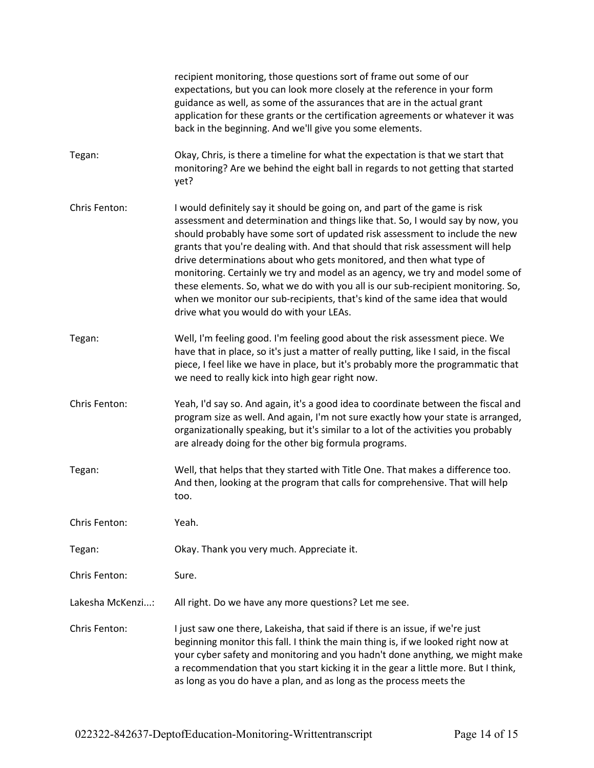|                  | recipient monitoring, those questions sort of frame out some of our<br>expectations, but you can look more closely at the reference in your form<br>guidance as well, as some of the assurances that are in the actual grant<br>application for these grants or the certification agreements or whatever it was<br>back in the beginning. And we'll give you some elements.                                                                                                                                                                                                                                                                                                                            |
|------------------|--------------------------------------------------------------------------------------------------------------------------------------------------------------------------------------------------------------------------------------------------------------------------------------------------------------------------------------------------------------------------------------------------------------------------------------------------------------------------------------------------------------------------------------------------------------------------------------------------------------------------------------------------------------------------------------------------------|
| Tegan:           | Okay, Chris, is there a timeline for what the expectation is that we start that<br>monitoring? Are we behind the eight ball in regards to not getting that started<br>yet?                                                                                                                                                                                                                                                                                                                                                                                                                                                                                                                             |
| Chris Fenton:    | I would definitely say it should be going on, and part of the game is risk<br>assessment and determination and things like that. So, I would say by now, you<br>should probably have some sort of updated risk assessment to include the new<br>grants that you're dealing with. And that should that risk assessment will help<br>drive determinations about who gets monitored, and then what type of<br>monitoring. Certainly we try and model as an agency, we try and model some of<br>these elements. So, what we do with you all is our sub-recipient monitoring. So,<br>when we monitor our sub-recipients, that's kind of the same idea that would<br>drive what you would do with your LEAs. |
| Tegan:           | Well, I'm feeling good. I'm feeling good about the risk assessment piece. We<br>have that in place, so it's just a matter of really putting, like I said, in the fiscal<br>piece, I feel like we have in place, but it's probably more the programmatic that<br>we need to really kick into high gear right now.                                                                                                                                                                                                                                                                                                                                                                                       |
| Chris Fenton:    | Yeah, I'd say so. And again, it's a good idea to coordinate between the fiscal and<br>program size as well. And again, I'm not sure exactly how your state is arranged,<br>organizationally speaking, but it's similar to a lot of the activities you probably<br>are already doing for the other big formula programs.                                                                                                                                                                                                                                                                                                                                                                                |
| Tegan:           | Well, that helps that they started with Title One. That makes a difference too.<br>And then, looking at the program that calls for comprehensive. That will help<br>too.                                                                                                                                                                                                                                                                                                                                                                                                                                                                                                                               |
| Chris Fenton:    | Yeah.                                                                                                                                                                                                                                                                                                                                                                                                                                                                                                                                                                                                                                                                                                  |
| Tegan:           | Okay. Thank you very much. Appreciate it.                                                                                                                                                                                                                                                                                                                                                                                                                                                                                                                                                                                                                                                              |
| Chris Fenton:    | Sure.                                                                                                                                                                                                                                                                                                                                                                                                                                                                                                                                                                                                                                                                                                  |
| Lakesha McKenzi: | All right. Do we have any more questions? Let me see.                                                                                                                                                                                                                                                                                                                                                                                                                                                                                                                                                                                                                                                  |
| Chris Fenton:    | I just saw one there, Lakeisha, that said if there is an issue, if we're just<br>beginning monitor this fall. I think the main thing is, if we looked right now at<br>your cyber safety and monitoring and you hadn't done anything, we might make<br>a recommendation that you start kicking it in the gear a little more. But I think,<br>as long as you do have a plan, and as long as the process meets the                                                                                                                                                                                                                                                                                        |